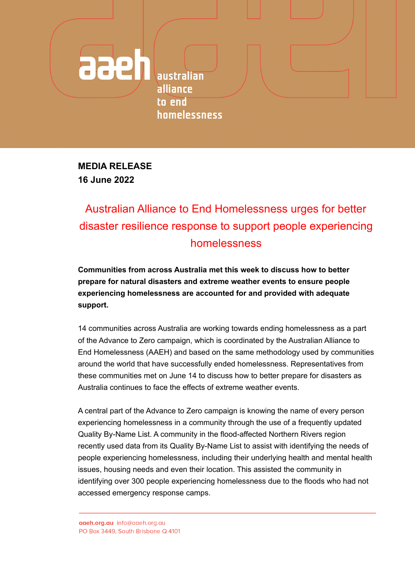**australian** alliance to end homelessness

**MEDIA RELEASE 16 June 2022**

aaeh

## Australian Alliance to End Homelessness urges for better disaster resilience response to support people experiencing homelessness

**Communities from across Australia met this week to discuss how to better prepare for natural disasters and extreme weather events to ensure people experiencing homelessness are accounted for and provided with adequate support.**

14 communities across Australia are working towards ending homelessness as a part of the Advance to Zero campaign, which is coordinated by the Australian Alliance to End Homelessness (AAEH) and based on the same methodology used by communities around the world that have successfully ended homelessness. Representatives from these communities met on June 14 to discuss how to better prepare for disasters as Australia continues to face the effects of extreme weather events.

A central part of the Advance to Zero campaign is knowing the name of every person experiencing homelessness in a community through the use of a frequently updated Quality By-Name List. A community in the flood-affected Northern Rivers region recently used data from its Quality By-Name List to assist with identifying the needs of people experiencing homelessness, including their underlying health and mental health issues, housing needs and even their location. This assisted the community in identifying over 300 people experiencing homelessness due to the floods who had not accessed emergency response camps.